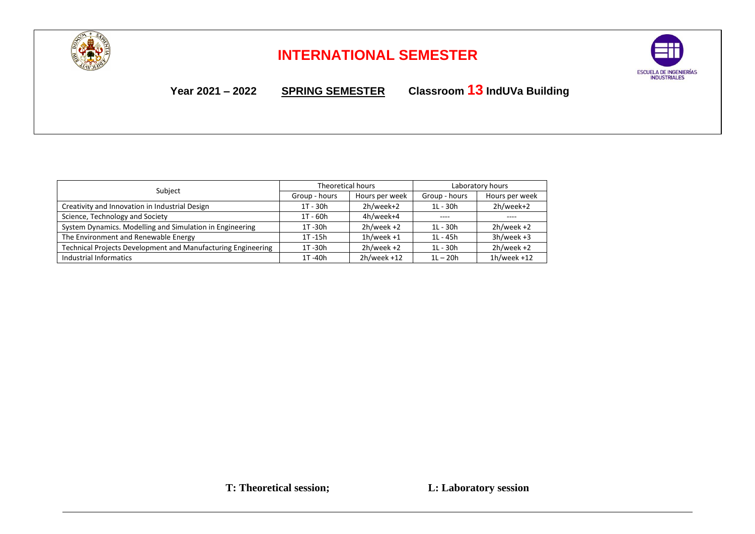

## **INTERNATIONAL SEMESTER**



**Year 2021 – 2022 SPRING SEMESTER Classroom 13 IndUVa Building**

|                                                              | Theoretical hours |                | Laboratory hours |                |
|--------------------------------------------------------------|-------------------|----------------|------------------|----------------|
| Subject                                                      | Group - hours     | Hours per week | Group - hours    | Hours per week |
| Creativity and Innovation in Industrial Design               | $1T - 30h$        | 2h/week+2      | $1L - 30h$       | 2h/week+2      |
| Science, Technology and Society                              | $1T - 60h$        | 4h/week+4      | ----             | ----           |
| System Dynamics. Modelling and Simulation in Engineering     | 1T-30h            | $2h/$ week +2  | 1L - 30h         | $2h/$ week +2  |
| The Environment and Renewable Energy                         | $1T - 15h$        | $1h$ /week +1  | $11 - 45h$       | $3h/$ week +3  |
| Technical Projects Development and Manufacturing Engineering | 1T-30h            | $2h$ /week +2  | $1L - 30h$       | $2h/$ week +2  |
| Industrial Informatics                                       | 1T -40h           | $2h$ /week +12 | $1L - 20h$       | $1h$ /week +12 |

**T: Theoretical session; L: Laboratory session**